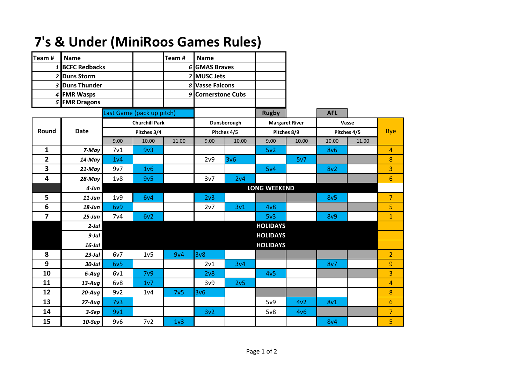| Team#                     | <b>Name</b>     |                       |                  | Team#            | <b>Name</b>         |       |                       |       |                 |       |                |
|---------------------------|-----------------|-----------------------|------------------|------------------|---------------------|-------|-----------------------|-------|-----------------|-------|----------------|
|                           | 1 BCFC Redbacks |                       |                  |                  | 6 GMAS Braves       |       |                       |       |                 |       |                |
|                           | 2 Duns Storm    |                       |                  |                  | <b>7 MUSC Jets</b>  |       |                       |       |                 |       |                |
|                           | 3 Duns Thunder  |                       |                  |                  | 8 Vasse Falcons     |       |                       |       |                 |       |                |
|                           | 4 FMR Wasps     |                       |                  |                  | 9 Cornerstone Cubs  |       |                       |       |                 |       |                |
| 5 FMR Dragons             |                 |                       |                  |                  |                     |       |                       |       |                 |       |                |
| Last Game (pack up pitch) |                 |                       |                  |                  |                     |       | <b>Rugby</b>          |       | <b>AFL</b>      |       |                |
|                           | <b>Date</b>     | <b>Churchill Park</b> |                  |                  | Dunsborough         |       | <b>Margaret River</b> |       | Vasse           |       |                |
| Round                     |                 | Pitches 3/4           |                  |                  | Pitches 4/5         |       | Pitches 8/9           |       | Pitches 4/5     |       | <b>Bye</b>     |
|                           |                 | 9.00                  | 10.00            | 11.00            | 9.00                | 10.00 | 9.00                  | 10.00 | 10.00           | 11.00 |                |
| $\mathbf{1}$              | 7-May           | 7 <sub>v1</sub>       | 9v3              |                  |                     |       | 5v <sub>2</sub>       |       | 8v6             |       | 4              |
| $\overline{2}$            | 14-May          | 1 <sub>v</sub> 4      |                  |                  | 2v9                 | 3v6   |                       | 5v7   |                 |       | 8              |
| 3                         | 21-May          | 9v7                   | 1 <sub>v</sub> 6 |                  |                     |       | 5v4                   |       | 8v2             |       | 3              |
| 4                         | 28-May          | 1 <sub>v</sub>        | 9v5              |                  | 3v7                 | 2v4   |                       |       |                 |       | $6\phantom{1}$ |
|                           | $4$ -Jun        |                       |                  |                  | <b>LONG WEEKEND</b> |       |                       |       |                 |       |                |
| 5                         | $11$ -Jun       | 1 <sub>v</sub> 9      | 6v4              |                  | 2 <sub>v</sub> 3    |       |                       |       | 8v <sub>5</sub> |       | $\overline{7}$ |
| 6                         | $18$ -Jun       | 6v9                   |                  |                  | 2v7                 | 3v1   | 4v8                   |       |                 |       | 5              |
| $\overline{7}$            | $25 - Jun$      | 7 <sub>v4</sub>       | 6v2              |                  |                     |       | 5v3                   |       | 8v9             |       | $\overline{1}$ |
|                           | $2$ -Jul        |                       |                  |                  | <b>HOLIDAYS</b>     |       |                       |       |                 |       |                |
|                           | $9$ -Jul        |                       | <b>HOLIDAYS</b>  |                  |                     |       |                       |       |                 |       |                |
|                           | $16$ -Jul       |                       | <b>HOLIDAYS</b>  |                  |                     |       |                       |       |                 |       |                |
| 8                         | $23$ -Jul       | 6v7                   | 1v5              | 9v4              | 3v8                 |       |                       |       |                 |       | $\overline{2}$ |
| 9                         | $30$ -Jul       | 6v5                   |                  |                  | 2v1                 | 3v4   |                       |       | 8v7             |       | 9              |
| 10                        | 6-Aug           | 6v1                   | 7 <sub>v</sub> 9 |                  | 2v8                 |       | 4v <sub>5</sub>       |       |                 |       | 3              |
| 11                        | $13$ -Aug       | 6v8                   | 1v7              |                  | 3v9                 | 2v5   |                       |       |                 |       | $\overline{4}$ |
| 12                        | $20-Auq$        | 9v2                   | 1 <sub>v4</sub>  | 7v <sub>5</sub>  | 3v6                 |       |                       |       |                 |       | 8              |
| 13                        | $27-Aug$        | 7 <sub>v3</sub>       |                  |                  |                     |       | 5v9                   | 4v2   | 8 <sub>v1</sub> |       | $6\phantom{1}$ |
| 14                        | $3-$ Sep        | 9v1                   |                  |                  | 3v <sub>2</sub>     |       | 5v8                   | 4v6   |                 |       | $\overline{7}$ |
| 15                        | $10-$ Sep       | 9v6                   | 7v2              | 1 <sub>v</sub> 3 |                     |       |                       |       | <b>8v4</b>      |       | 5              |

## **7's & Under (MiniRoos Games Rules)**